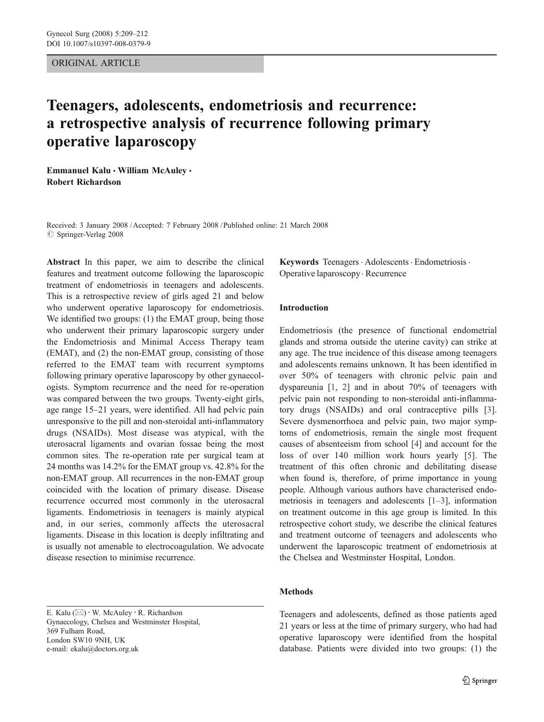### ORIGINAL ARTICLE

# Teenagers, adolescents, endometriosis and recurrence: a retrospective analysis of recurrence following primary operative laparoscopy

Emmanuel Kalu · William McAuley · Robert Richardson

Received: 3 January 2008 /Accepted: 7 February 2008 / Published online: 21 March 2008  $\oslash$  Springer-Verlag 2008

Abstract In this paper, we aim to describe the clinical features and treatment outcome following the laparoscopic treatment of endometriosis in teenagers and adolescents. This is a retrospective review of girls aged 21 and below who underwent operative laparoscopy for endometriosis. We identified two groups: (1) the EMAT group, being those who underwent their primary laparoscopic surgery under the Endometriosis and Minimal Access Therapy team (EMAT), and (2) the non-EMAT group, consisting of those referred to the EMAT team with recurrent symptoms following primary operative laparoscopy by other gynaecologists. Symptom recurrence and the need for re-operation was compared between the two groups. Twenty-eight girls, age range 15–21 years, were identified. All had pelvic pain unresponsive to the pill and non-steroidal anti-inflammatory drugs (NSAIDs). Most disease was atypical, with the uterosacral ligaments and ovarian fossae being the most common sites. The re-operation rate per surgical team at 24 months was 14.2% for the EMAT group vs. 42.8% for the non-EMAT group. All recurrences in the non-EMAT group coincided with the location of primary disease. Disease recurrence occurred most commonly in the uterosacral ligaments. Endometriosis in teenagers is mainly atypical and, in our series, commonly affects the uterosacral ligaments. Disease in this location is deeply infiltrating and is usually not amenable to electrocoagulation. We advocate disease resection to minimise recurrence.

E. Kalu (*\**) : W. McAuley : R. Richardson Gynaecology, Chelsea and Westminster Hospital, 369 Fulham Road, London SW10 9NH, UK e-mail: ekalu@doctors.org.uk

Keywords Teenagers · Adolescents · Endometriosis · Operative laparoscopy . Recurrence

#### Introduction

Endometriosis (the presence of functional endometrial glands and stroma outside the uterine cavity) can strike at any age. The true incidence of this disease among teenagers and adolescents remains unknown. It has been identified in over 50% of teenagers with chronic pelvic pain and dyspareunia [\[1](#page-3-0), [2\]](#page-3-0) and in about 70% of teenagers with pelvic pain not responding to non-steroidal anti-inflammatory drugs (NSAIDs) and oral contraceptive pills [\[3](#page-3-0)]. Severe dysmenorrhoea and pelvic pain, two major symptoms of endometriosis, remain the single most frequent causes of absenteeism from school [[4\]](#page-3-0) and account for the loss of over 140 million work hours yearly [[5\]](#page-3-0). The treatment of this often chronic and debilitating disease when found is, therefore, of prime importance in young people. Although various authors have characterised endometriosis in teenagers and adolescents [[1](#page-3-0)–[3\]](#page-3-0), information on treatment outcome in this age group is limited. In this retrospective cohort study, we describe the clinical features and treatment outcome of teenagers and adolescents who underwent the laparoscopic treatment of endometriosis at the Chelsea and Westminster Hospital, London.

## Methods

Teenagers and adolescents, defined as those patients aged 21 years or less at the time of primary surgery, who had had operative laparoscopy were identified from the hospital database. Patients were divided into two groups: (1) the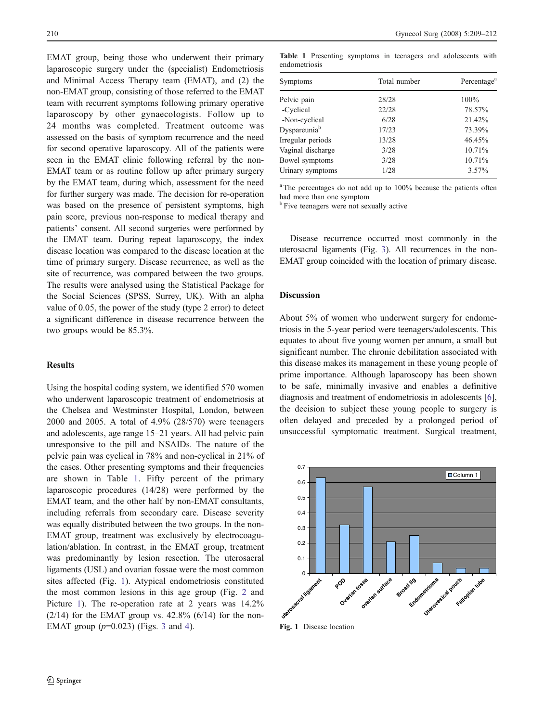EMAT group, being those who underwent their primary laparoscopic surgery under the (specialist) Endometriosis and Minimal Access Therapy team (EMAT), and (2) the non-EMAT group, consisting of those referred to the EMAT team with recurrent symptoms following primary operative laparoscopy by other gynaecologists. Follow up to 24 months was completed. Treatment outcome was assessed on the basis of symptom recurrence and the need for second operative laparoscopy. All of the patients were seen in the EMAT clinic following referral by the non-EMAT team or as routine follow up after primary surgery by the EMAT team, during which, assessment for the need for further surgery was made. The decision for re-operation was based on the presence of persistent symptoms, high pain score, previous non-response to medical therapy and patients' consent. All second surgeries were performed by the EMAT team. During repeat laparoscopy, the index disease location was compared to the disease location at the time of primary surgery. Disease recurrence, as well as the site of recurrence, was compared between the two groups. The results were analysed using the Statistical Package for the Social Sciences (SPSS, Surrey, UK). With an alpha value of 0.05, the power of the study (type 2 error) to detect a significant difference in disease recurrence between the two groups would be 85.3%.

#### Results

Using the hospital coding system, we identified 570 women who underwent laparoscopic treatment of endometriosis at the Chelsea and Westminster Hospital, London, between 2000 and 2005. A total of 4.9% (28/570) were teenagers and adolescents, age range 15–21 years. All had pelvic pain unresponsive to the pill and NSAIDs. The nature of the pelvic pain was cyclical in 78% and non-cyclical in 21% of the cases. Other presenting symptoms and their frequencies are shown in Table 1. Fifty percent of the primary laparoscopic procedures (14/28) were performed by the EMAT team, and the other half by non-EMAT consultants, including referrals from secondary care. Disease severity was equally distributed between the two groups. In the non-EMAT group, treatment was exclusively by electrocoagulation/ablation. In contrast, in the EMAT group, treatment was predominantly by lesion resection. The uterosacral ligaments (USL) and ovarian fossae were the most common sites affected (Fig. 1). Atypical endometriosis constituted the most common lesions in this age group (Fig. [2](#page-2-0) and Picture [1](#page-2-0)). The re-operation rate at 2 years was  $14.2\%$  $(2/14)$  for the EMAT group vs. 42.8%  $(6/14)$  for the non-EMAT group (*p*=0.023) (Figs. [3](#page-2-0) and [4\)](#page-3-0).

Table 1 Presenting symptoms in teenagers and adolescents with endometriosis

| Symptoms                 | Total number | Percentage <sup>a</sup> |
|--------------------------|--------------|-------------------------|
| Pelvic pain              | 28/28        | 100%                    |
| -Cyclical                | 22/28        | 78.57%                  |
| -Non-cyclical            | 6/28         | 21.42%                  |
| Dyspareunia <sup>b</sup> | 17/23        | 73.39%                  |
| Irregular periods        | 13/28        | 46.45%                  |
| Vaginal discharge        | 3/28         | 10.71%                  |
| Bowel symptoms           | 3/28         | 10.71%                  |
| Urinary symptoms         | 1/28         | $3.57\%$                |
|                          |              |                         |

<sup>a</sup> The percentages do not add up to 100% because the patients often had more than one symptom

<sup>b</sup> Five teenagers were not sexually active

Disease recurrence occurred most commonly in the uterosacral ligaments (Fig. [3\)](#page-2-0). All recurrences in the non-EMAT group coincided with the location of primary disease.

#### Discussion

About 5% of women who underwent surgery for endometriosis in the 5-year period were teenagers/adolescents. This equates to about five young women per annum, a small but significant number. The chronic debilitation associated with this disease makes its management in these young people of prime importance. Although laparoscopy has been shown to be safe, minimally invasive and enables a definitive diagnosis and treatment of endometriosis in adolescents [[6\]](#page-3-0), the decision to subject these young people to surgery is often delayed and preceded by a prolonged period of unsuccessful symptomatic treatment. Surgical treatment,



Fig. 1 Disease location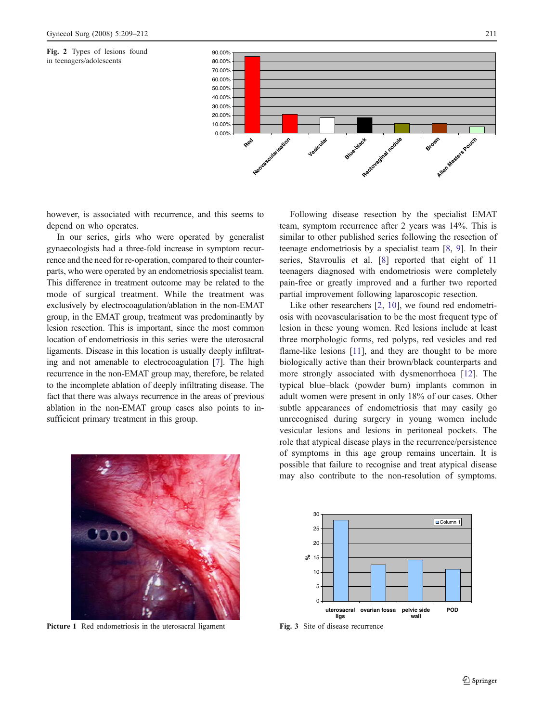<span id="page-2-0"></span>Fig. 2 Types of lesions found in teenagers/adolescents



however, is associated with recurrence, and this seems to depend on who operates.

In our series, girls who were operated by generalist gynaecologists had a three-fold increase in symptom recurrence and the need for re-operation, compared to their counterparts, who were operated by an endometriosis specialist team. This difference in treatment outcome may be related to the mode of surgical treatment. While the treatment was exclusively by electrocoagulation/ablation in the non-EMAT group, in the EMAT group, treatment was predominantly by lesion resection. This is important, since the most common location of endometriosis in this series were the uterosacral ligaments. Disease in this location is usually deeply infiltrating and not amenable to electrocoagulation [\[7\]](#page-3-0). The high recurrence in the non-EMAT group may, therefore, be related to the incomplete ablation of deeply infiltrating disease. The fact that there was always recurrence in the areas of previous ablation in the non-EMAT group cases also points to insufficient primary treatment in this group.



Like other researchers [\[2,](#page-3-0) [10](#page-3-0)], we found red endometriosis with neovascularisation to be the most frequent type of lesion in these young women. Red lesions include at least three morphologic forms, red polyps, red vesicles and red flame-like lesions [\[11\]](#page-3-0), and they are thought to be more biologically active than their brown/black counterparts and more strongly associated with dysmenorrhoea [[12\]](#page-3-0). The typical blue–black (powder burn) implants common in adult women were present in only 18% of our cases. Other subtle appearances of endometriosis that may easily go unrecognised during surgery in young women include vesicular lesions and lesions in peritoneal pockets. The role that atypical disease plays in the recurrence/persistence of symptoms in this age group remains uncertain. It is possible that failure to recognise and treat atypical disease may also contribute to the non-resolution of symptoms.



Picture 1 Red endometriosis in the uterosacral ligament



Fig. 3 Site of disease recurrence